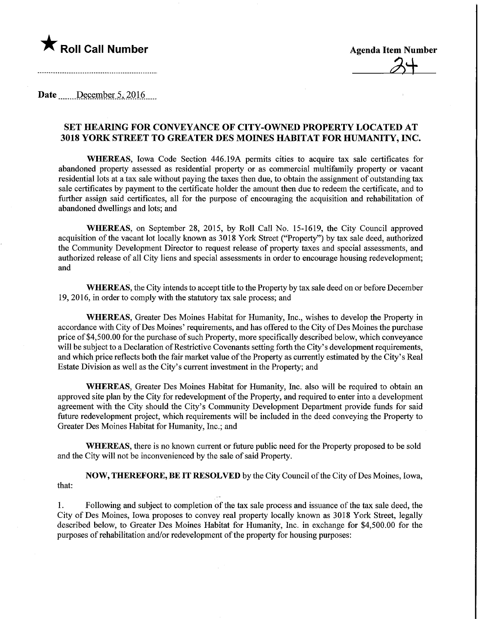

 $2+$ 

Date December 5, 2016

## SET HEAMNG FOR CONVEYANCE OF CITY-OWNED PROPERTY LOCATED AT 3018 YORK STREET TO GREATER DES MOINES HABITAT FOR HUMANITY, INC.

WHEREAS, Iowa Code Section 446.19A permits cities to acquire tax sale certificates for abandoned property assessed as residential property or as commercial multifamily property or vacant residential lots at a tax sale without paying the taxes then due, to obtain the assignment of outstanding tax sale certificates by payment to the certificate holder the amount then due to redeem the certificate, and to further assign said certificates, all for the purpose of encouraging the acquisition and rehabilitation of abandoned dwellings and lots; and

WHEREAS, on September 28, 2015, by Roll Call No. 15-1619, the City Council approved acquisition of the vacant lot locally known as 3018 York Street ("Property") by tax sale deed, authorized the Community Development Director to request release of property taxes and special assessments, and authorized release of all City liens and special assessments in order to encourage housing redevelopment; and

WHEREAS, the City intends to accept title to the Property by tax sale deed on or before December 19, 2016, in order to comply with the statutory tax sale process; and

WHEREAS, Greater Des Moines Habitat for Humanity, Inc., wishes to develop the Property in accordance with City of Des Moines' requirements, and has offered to the City of Des Moines the purchase price of \$4,500.00 for the purchase of such Property, more specifically described below, which conveyance will be subject to a Declaration of Restrictive Covenants setting forth the City's development requirements, and which price reflects both the fair market value of the Property as currently estimated by the City's Real Estate Division as well as the City's current investment in the Property; and

WHEREAS, Greater Des Moines Habitat for Humanity, Inc. also will be required to obtain an approved site plan by the City for redevelopment of the Property, and required to enter into a development agreement with the City should the City's Community Development Department provide funds for said future redevelopment project, which requirements will be included in the deed conveying the Property to Greater Des Moines Habitat for Humanity, Inc.; and

WHEREAS, there is no known current or future public need for the Property proposed to be sold and the City will not be inconvenienced by the sale of said Property.

NOW, THEREFORE, BE IT RESOLVED by the City Council of the City of Des Moines, Iowa, that:

1. Following and subject to completion of the tax sale process and issuance of the tax sale deed, the City of Des Moines, Iowa proposes to convey real property locally known as 3018 York Street, legally described below, to Greater Des Moines Habitat for Humanity, Inc. in exchange for \$4,500.00 for the purposes of rehabilitation and/or redevelopment of the property for housing purposes: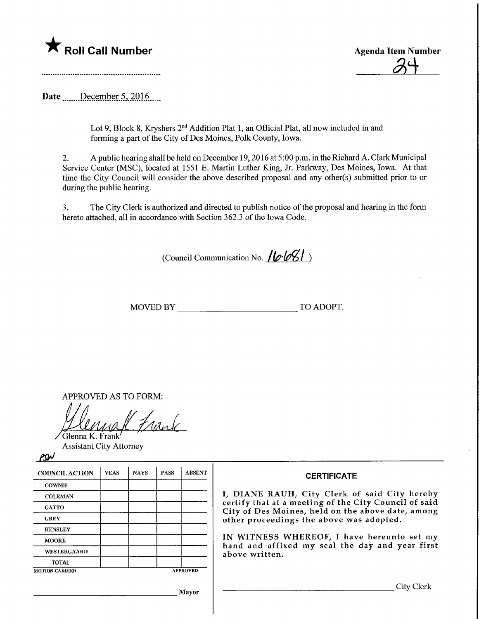



Date December 5, 2016

Lot 9, Block 8, Kryshers 2<sup>nd</sup> Addition Plat 1, an Official Plat, all now included in and forming a part of the City of Des Moines, Polk County, Iowa.

2. A public hearing shall be held on December 19, 2016 at 5:00 p.m. in the Richard A. Clark Municipal Service Center (MSC), located at 1551 E. Martin Luther King, Jr. Parkway, Des Moines, Iowa. At that time the City Council will consider the above described proposal and any other(s) submitted prior to or during the public hearing.

3. The City Clerk is authorized and directed to publish notice of the proposal and hearing in the form hereto attached, all in accordance with Section 362.3 of the Iowa Code.

(Council Communication No. **/ le·le/S/**)

MOVED BY TO ADOPT.

APPROVED AS TO FORM:

Frank Glenna K. Frank

Assistant City Attorney

 $\rho$ sh

| <b>COUNCIL ACTION</b> | <b>YEAS</b> | <b>NAYS</b> | <b>PASS</b> | <b>ABSENT</b>                                                 | <b>CERTIFICATE</b>                                                          |  |  |  |
|-----------------------|-------------|-------------|-------------|---------------------------------------------------------------|-----------------------------------------------------------------------------|--|--|--|
| <b>COWNIE</b>         |             |             |             |                                                               |                                                                             |  |  |  |
| <b>COLEMAN</b>        |             |             |             |                                                               | I, DIANE RAUH, City Clerk of s                                              |  |  |  |
| <b>GATTO</b>          |             |             |             |                                                               | certify that at a meeting of the City<br>City of Des Moines, held on the ab |  |  |  |
| <b>GREY</b>           |             |             |             |                                                               | other proceedings the above was a                                           |  |  |  |
| <b>HENSLEY</b>        |             |             |             |                                                               |                                                                             |  |  |  |
| <b>MOORE</b>          |             |             |             | IN WITNESS WHEREOF, I have<br>hand and affixed my seal the da |                                                                             |  |  |  |
| <b>WESTERGAARD</b>    |             |             |             |                                                               | above written.                                                              |  |  |  |
| <b>TOTAL</b>          |             |             |             |                                                               |                                                                             |  |  |  |
| <b>MOTION CARRIED</b> |             |             |             | <b>APPROVED</b>                                               |                                                                             |  |  |  |

aid City hereby y Council of said oove date, among dopted.

hereunto set my y and year first

Mayor

City Clerk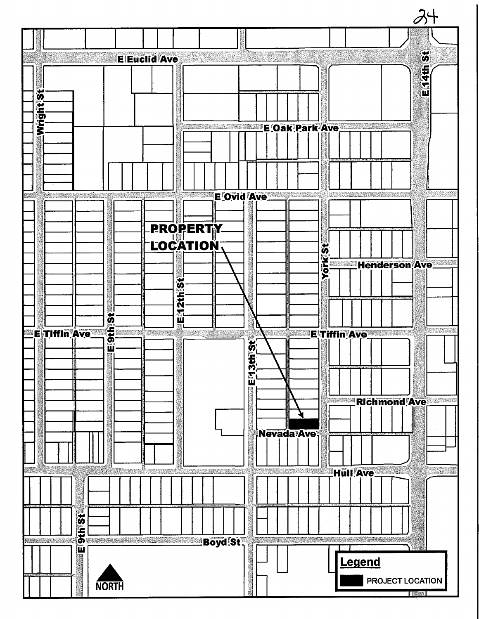